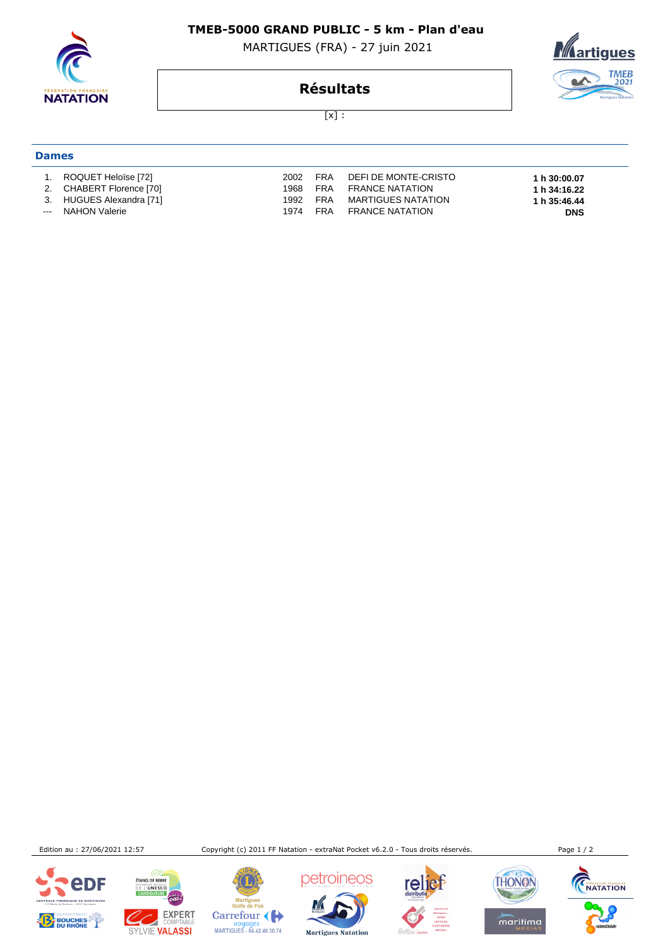

#### **TMEB-5000 GRAND PUBLIC - 5 km - Plan d'eau**

MARTIGUES (FRA) - 27 juin 2021



## **Résultats**

 $[x]$  :

# **Dames**

 1. ROQUET Heloïse [72] 2002 FRA DEFI DE MONTE-CRISTO **1 h 30:00.07**  2. CHABERT Florence [70] 1968 FRA FRANCE NATATION **1 h 34:16.22**  3. HUGUES Alexandra [71] 1992 FRA MARTIGUES NATATION **1 h 35:46.44**  -- NAHON Valerie 1974 FRA FRANCE NATATION

Edition au : 27/06/2021 12:57 Copyright (c) 2011 FF Natation - extraNat Pocket v6.2.0 - Tous droits réservés. Page 1 / 2







Mar marugues<br>Golfe de Fos

Carrefour

Doyages<br>MARTIGUES - 04.42.40.30.74